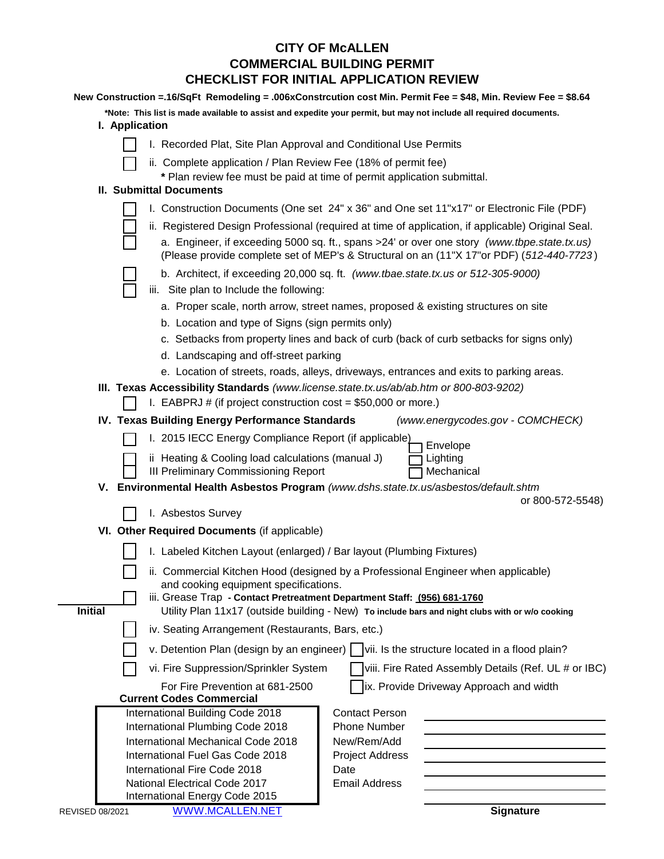## **CITY OF McALLEN CHECKLIST FOR INITIAL APPLICATION REVIEW COMMERCIAL BUILDING PERMIT**

| New Construction = 16/SqFt Remodeling = .006xConstrcution cost Min. Permit Fee = \$48, Min. Review Fee = \$8.64 |                                                                                                                                                                             |                                                                                                                                                                                         |  |  |  |
|-----------------------------------------------------------------------------------------------------------------|-----------------------------------------------------------------------------------------------------------------------------------------------------------------------------|-----------------------------------------------------------------------------------------------------------------------------------------------------------------------------------------|--|--|--|
|                                                                                                                 | *Note: This list is made available to assist and expedite your permit, but may not include all required documents.<br>I. Application                                        |                                                                                                                                                                                         |  |  |  |
|                                                                                                                 | I. Recorded Plat, Site Plan Approval and Conditional Use Permits                                                                                                            |                                                                                                                                                                                         |  |  |  |
|                                                                                                                 | ii. Complete application / Plan Review Fee (18% of permit fee)                                                                                                              |                                                                                                                                                                                         |  |  |  |
|                                                                                                                 | * Plan review fee must be paid at time of permit application submittal.                                                                                                     |                                                                                                                                                                                         |  |  |  |
|                                                                                                                 | <b>II. Submittal Documents</b>                                                                                                                                              |                                                                                                                                                                                         |  |  |  |
|                                                                                                                 | I. Construction Documents (One set 24" x 36" and One set 11"x17" or Electronic File (PDF)                                                                                   |                                                                                                                                                                                         |  |  |  |
|                                                                                                                 |                                                                                                                                                                             | ii. Registered Design Professional (required at time of application, if applicable) Original Seal.                                                                                      |  |  |  |
|                                                                                                                 |                                                                                                                                                                             | a. Engineer, if exceeding 5000 sq. ft., spans >24' or over one story (www.tbpe.state.tx.us)<br>(Please provide complete set of MEP's & Structural on an (11"X 17"or PDF) (512-440-7723) |  |  |  |
|                                                                                                                 | b. Architect, if exceeding 20,000 sq. ft. (www.tbae.state.tx.us or 512-305-9000)                                                                                            |                                                                                                                                                                                         |  |  |  |
|                                                                                                                 | iii. Site plan to Include the following:                                                                                                                                    |                                                                                                                                                                                         |  |  |  |
|                                                                                                                 | a. Proper scale, north arrow, street names, proposed & existing structures on site                                                                                          |                                                                                                                                                                                         |  |  |  |
| b. Location and type of Signs (sign permits only)                                                               |                                                                                                                                                                             |                                                                                                                                                                                         |  |  |  |
|                                                                                                                 | c. Setbacks from property lines and back of curb (back of curb setbacks for signs only)<br>d. Landscaping and off-street parking                                            |                                                                                                                                                                                         |  |  |  |
|                                                                                                                 |                                                                                                                                                                             |                                                                                                                                                                                         |  |  |  |
|                                                                                                                 | e. Location of streets, roads, alleys, driveways, entrances and exits to parking areas.                                                                                     |                                                                                                                                                                                         |  |  |  |
|                                                                                                                 | III. Texas Accessibility Standards (www.license.state.tx.us/ab/ab.htm or 800-803-9202)                                                                                      |                                                                                                                                                                                         |  |  |  |
|                                                                                                                 | I. EABPRJ # (if project construction cost = $$50,000$ or more.)                                                                                                             |                                                                                                                                                                                         |  |  |  |
|                                                                                                                 | IV. Texas Building Energy Performance Standards                                                                                                                             | (www.energycodes.gov - COMCHECK)                                                                                                                                                        |  |  |  |
| I. 2015 IECC Energy Compliance Report (if applicable)<br>Envelope                                               |                                                                                                                                                                             |                                                                                                                                                                                         |  |  |  |
|                                                                                                                 | ii Heating & Cooling load calculations (manual J)<br>III Preliminary Commissioning Report                                                                                   | Lighting<br>Mechanical                                                                                                                                                                  |  |  |  |
|                                                                                                                 | V. Environmental Health Asbestos Program (www.dshs.state.tx.us/asbestos/default.shtm                                                                                        |                                                                                                                                                                                         |  |  |  |
|                                                                                                                 |                                                                                                                                                                             | or 800-572-5548)                                                                                                                                                                        |  |  |  |
|                                                                                                                 | I. Asbestos Survey                                                                                                                                                          |                                                                                                                                                                                         |  |  |  |
|                                                                                                                 | VI. Other Required Documents (if applicable)                                                                                                                                |                                                                                                                                                                                         |  |  |  |
|                                                                                                                 | I. Labeled Kitchen Layout (enlarged) / Bar layout (Plumbing Fixtures)                                                                                                       |                                                                                                                                                                                         |  |  |  |
|                                                                                                                 | ii. Commercial Kitchen Hood (designed by a Professional Engineer when applicable)                                                                                           |                                                                                                                                                                                         |  |  |  |
|                                                                                                                 | and cooking equipment specifications.                                                                                                                                       |                                                                                                                                                                                         |  |  |  |
| <b>Initial</b>                                                                                                  | iii. Grease Trap - Contact Pretreatment Department Staff: (956) 681-1760<br>Utility Plan 11x17 (outside building - New) To include bars and night clubs with or w/o cooking |                                                                                                                                                                                         |  |  |  |
|                                                                                                                 | iv. Seating Arrangement (Restaurants, Bars, etc.)                                                                                                                           |                                                                                                                                                                                         |  |  |  |
|                                                                                                                 | v. Detention Plan (design by an engineer)     vii. Is the structure located in a flood plain?                                                                               |                                                                                                                                                                                         |  |  |  |
|                                                                                                                 |                                                                                                                                                                             | viii. Fire Rated Assembly Details (Ref. UL # or IBC)                                                                                                                                    |  |  |  |
| vi. Fire Suppression/Sprinkler System                                                                           |                                                                                                                                                                             |                                                                                                                                                                                         |  |  |  |
|                                                                                                                 | ix. Provide Driveway Approach and width<br>For Fire Prevention at 681-2500<br><b>Current Codes Commercial</b>                                                               |                                                                                                                                                                                         |  |  |  |
|                                                                                                                 | International Building Code 2018                                                                                                                                            | <b>Contact Person</b>                                                                                                                                                                   |  |  |  |
|                                                                                                                 | International Plumbing Code 2018                                                                                                                                            | <b>Phone Number</b>                                                                                                                                                                     |  |  |  |
|                                                                                                                 | International Mechanical Code 2018                                                                                                                                          | New/Rem/Add                                                                                                                                                                             |  |  |  |
|                                                                                                                 | International Fuel Gas Code 2018                                                                                                                                            | <b>Project Address</b>                                                                                                                                                                  |  |  |  |
|                                                                                                                 | International Fire Code 2018<br>National Electrical Code 2017                                                                                                               | Date<br><b>Email Address</b>                                                                                                                                                            |  |  |  |
|                                                                                                                 | International Energy Code 2015                                                                                                                                              |                                                                                                                                                                                         |  |  |  |
|                                                                                                                 |                                                                                                                                                                             |                                                                                                                                                                                         |  |  |  |